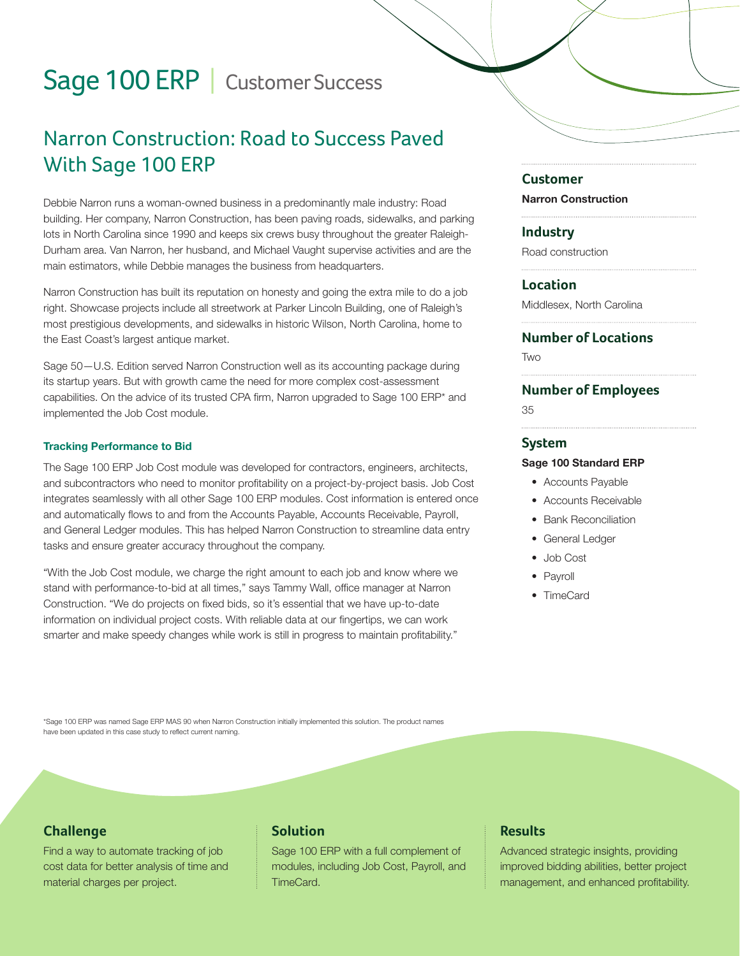# Sage 100 ERP | Customer Success

# Narron Construction: Road to Success Paved With Sage 100 ERP

Debbie Narron runs a woman-owned business in a predominantly male industry: Road building. Her company, Narron Construction, has been paving roads, sidewalks, and parking lots in North Carolina since 1990 and keeps six crews busy throughout the greater Raleigh-Durham area. Van Narron, her husband, and Michael Vaught supervise activities and are the main estimators, while Debbie manages the business from headquarters.

Narron Construction has built its reputation on honesty and going the extra mile to do a job right. Showcase projects include all streetwork at Parker Lincoln Building, one of Raleigh's most prestigious developments, and sidewalks in historic Wilson, North Carolina, home to the East Coast's largest antique market.

Sage 50—U.S. Edition served Narron Construction well as its accounting package during its startup years. But with growth came the need for more complex cost-assessment capabilities. On the advice of its trusted CPA firm, Narron upgraded to Sage 100 ERP\* and implemented the Job Cost module.

#### Tracking Performance to Bid

The Sage 100 ERP Job Cost module was developed for contractors, engineers, architects, and subcontractors who need to monitor profitability on a project-by-project basis. Job Cost integrates seamlessly with all other Sage 100 ERP modules. Cost information is entered once and automatically flows to and from the Accounts Payable, Accounts Receivable, Payroll, and General Ledger modules. This has helped Narron Construction to streamline data entry tasks and ensure greater accuracy throughout the company.

"With the Job Cost module, we charge the right amount to each job and know where we stand with performance-to-bid at all times," says Tammy Wall, office manager at Narron Construction. "We do projects on fixed bids, so it's essential that we have up-to-date information on individual project costs. With reliable data at our fingertips, we can work smarter and make speedy changes while work is still in progress to maintain profitability."

#### **Customer**

Narron Construction

#### **Industry**

Road construction

#### **Location**

Middlesex, North Carolina

### **Number of Locations**

**TWO** 

#### **Number of Employees**

35

#### **System**

#### Sage 100 Standard ERP

- Accounts Payable
- Accounts Receivable
- Bank Reconciliation
- General Ledger
- Job Cost
- Payroll
- TimeCard

\*Sage 100 ERP was named Sage ERP MAS 90 when Narron Construction initially implemented this solution. The product names have been updated in this case study to reflect current naming.

### **Challenge**

Find a way to automate tracking of job cost data for better analysis of time and material charges per project.

# **Solution**

Sage 100 ERP with a full complement of modules, including Job Cost, Payroll, and TimeCard.

# **Results**

Advanced strategic insights, providing improved bidding abilities, better project management, and enhanced profitability.